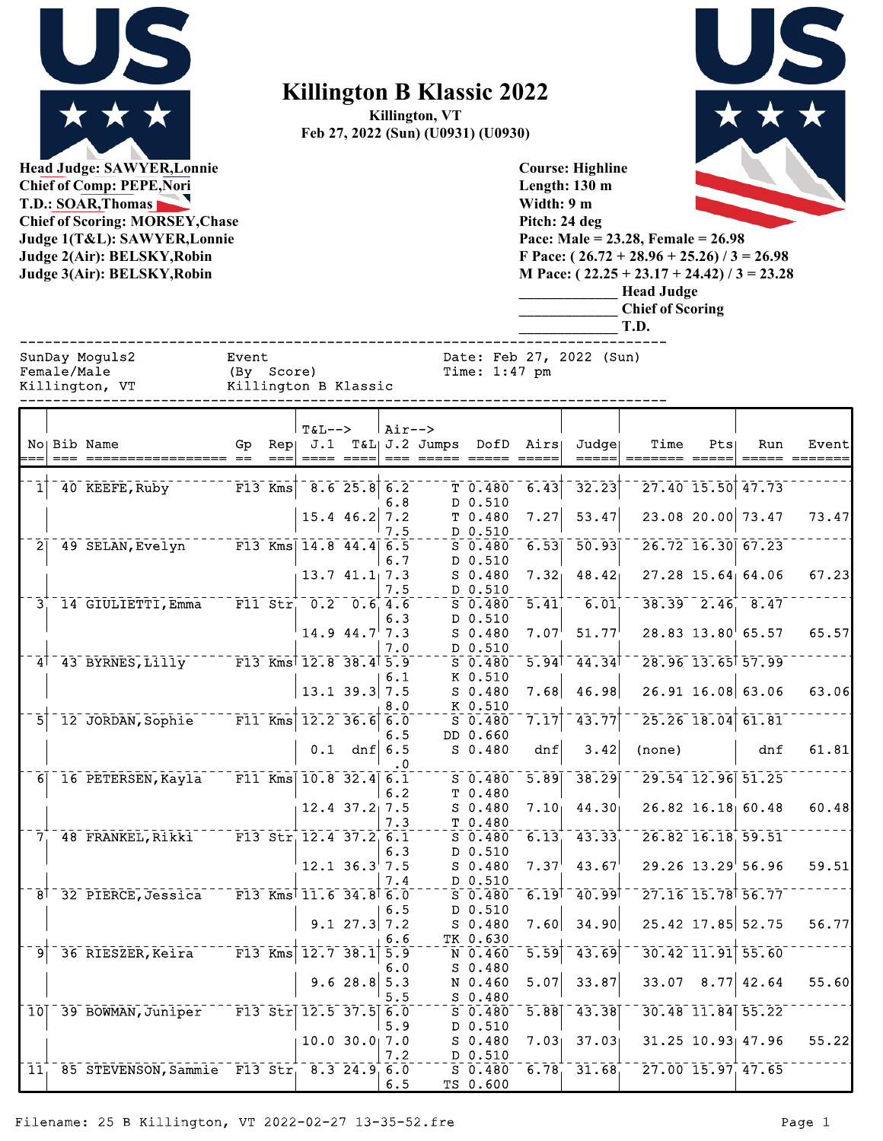

**Head Judge: SAWYER,Lonnie Chief of Comp: PEPE,Nori T.D.: SOAR,Thomas Chief of Scoring: MORSEY,Chase Judge 1(T&L): SAWYER,Lonnie Judge 2(Air): BELSKY,Robin Judge 3(Air): BELSKY,Robin** 

## **Killington B Klassic 2022**

**Killington, VT Feb 27, 2022 (Sun) (U0931) (U0930)**



**Length: 130 m Width: 9 m Pitch: 24 deg Pace: Male = 23.28, Female = 26.98 F Pace: ( 26.72 + 28.96 + 25.26) / 3 = 26.98 M Pace: ( 22.25 + 23.17 + 24.42) / 3 = 23.28 \_\_\_\_\_\_\_\_\_\_\_\_\_ Head Judge \_\_\_\_\_\_\_\_\_\_\_\_\_ Chief of Scoring \_\_\_\_\_\_\_\_\_\_\_\_\_ T.D.** ------------------------------------------------------------------------------ SunDay Moguls2 Event Date: Feb 27, 2022 (Sun)<br>Female/Male (By Score) Time: 1:47 pm (By Score) Time: 1:47 pm

**Course: Highline**

|                | Killington, VT                             |           |     | Killington B Klassic                                |                   |                   |                |                                             |                                        |                 |        |                     |                                            |       |
|----------------|--------------------------------------------|-----------|-----|-----------------------------------------------------|-------------------|-------------------|----------------|---------------------------------------------|----------------------------------------|-----------------|--------|---------------------|--------------------------------------------|-------|
|                | No Bib Name                                | Gp        | Rep | $T&L-->$<br>J.1                                     |                   | $Air--$           | T&L  J.2 Jumps | DofD                                        | Airs                                   | Judgel<br>===== | Time   | Pts                 | Run                                        | Event |
| $1^{\dagger}$  | 40 KEEFE, Ruby                             | $F13$ Kms |     |                                                     | $-8.6$ 25.8 6.2   | 6.8               |                | T 0.480<br>D 0.510                          | 6.43                                   | 32.23           |        | 27.40 15.50 47.73   |                                            |       |
|                |                                            |           |     |                                                     | $15.4$ 46.2 7.2   | 7.5               |                | T 0.480<br>D 0.510                          | 7.27                                   | 53.47           |        | 23.08 20.00 73.47   |                                            | 73.47 |
|                | 2 49 SELAN, Evelyn F13 Kms 14.8 44.4 6.5   |           |     |                                                     |                   | 6.7               |                | $S$ 0.480<br>D 0.510                        | 6.53                                   | 50.93           |        | 26.72 16.30 67.23   |                                            |       |
|                | 3 14 GIULIETTI, Emma                       |           |     | $F11$ Str $0.2$ $0.6$ 4.6                           | 13.741.17.3       | 7.5               |                | $S$ 0.480<br>D 0.510<br>$S$ 0.480           | 7.32 <sub>1</sub><br>$\overline{5.41}$ | 48.42<br>6.01   |        |                     | 27.28 15.64 64.06<br>$38.39 - 2.46 - 8.47$ | 67.23 |
|                |                                            |           |     |                                                     | $14.944.7$ 7.3    | 6.3               |                | D 0.510<br>$S$ 0.480                        | 7.07                                   | 51.77           |        |                     | 28.83 13.80 65.57                          | 65.57 |
|                | $4^{\dagger}$ 43 BYRNES, Lilly             |           |     | $F13$ Kms <sup>1</sup> 12.8 38.4 5.9                |                   | 7.0               |                | D 0.510<br>$S$ 0.480                        | $\overline{5.94}$ <sup>†</sup>         | 44.34           |        |                     | 28.96 13.65 57.99                          |       |
|                |                                            |           |     |                                                     | $13.1$ 39.3 7.5   | 6.1               |                | K 0.510<br>$S$ 0.480                        | 7.68                                   | 46.98           |        |                     | 26.91 16.08 63.06                          | 63.06 |
| 51             | 12 JORDAN, Sophie                          |           |     | $F11$ Kms 12.2 36.6                                 |                   | 8.0<br>6.0<br>6.5 |                | K 0.510<br>$S$ <sup>0.480</sup><br>DD 0.660 | 7.17                                   | 43.77           |        | $25.26$ 18.04 61.81 |                                            |       |
|                |                                            |           |     |                                                     | $0.1$ dnf $6.5$   | . 0               |                | $S$ 0.480                                   | dnf                                    | 3.42            | (none) |                     | dnf                                        | 61.81 |
|                | 6 16 PETERSEN, Kayla                       |           |     | F11 Kms $10.8$ 32.4 6.1                             |                   | 6.2               |                | $S_0.480$<br>T 0.480                        | $\overline{5.89}$                      | 38.29           |        |                     | 29.54 12.96 51.25                          |       |
|                |                                            |           |     |                                                     | $12.4$ $37.2$ 7.5 | 7.3               |                | $S$ 0.480<br>T 0.480                        | 7.10 <sub>1</sub>                      | 44.30           |        |                     | 26.82 16.18 60.48                          | 60.48 |
|                | 7 48 FRANKEL, Rikki                        |           |     | $F13$ Str $12.4$ 37.2 6.1                           | $12.1$ 36.3 7.5   | 6.3               |                | $S$ 0.480<br>D 0.510<br>$S$ 0.480           | 6.13<br>7.37                           | 43.33<br>43.67  |        |                     | 26.82 16.18 59.51<br>$29.26$ $13.29$ 56.96 | 59.51 |
|                | $8† 32$ PIERCE, Jessica                    |           |     | $-$ F13 Kms <sup>†</sup> 11.6 34.8 <sup>†</sup> 6.0 |                   | 7.4               |                | D 0.510<br>$S$ 0.480                        | $6.19^{+}$                             | 40.99           |        |                     | 27.16 15.78 56.77                          |       |
|                |                                            |           |     |                                                     | $9.1$ 27.3 7.2    | 6.5               |                | D 0.510<br>$S$ 0.480                        | 7.60                                   | 34.90           |        |                     | 25.42 17.85 52.75                          | 56.77 |
| $\overline{9}$ | 36 RIESZER, Keira F13 Kms                  |           |     |                                                     | $12.7$ 38.1 5.9   | 6.6               |                | TK 0.630<br>N 0.460                         | $\overline{5.59}$                      | 43.69           |        |                     | $30.42$ 11.91 55.60                        |       |
|                |                                            |           |     |                                                     | 9.628.85.3        | 6.O<br>5.5        |                | $S$ 0.480<br>N 0.460<br>$S$ 0.480           | 5.07                                   | 33.87           |        |                     | $33.07$ 8.77 42.64                         | 55.60 |
|                | 10 39 BOWMAN, Juniper                      |           |     | $F13 \text{ Str} 12.5 37.5 6.0$                     |                   | 5.9               |                | $S$ 0.480<br>D 0.510                        | $\overline{5.88}$                      | 43.38           |        |                     | 30.48 11.84 55.22                          |       |
|                |                                            |           |     |                                                     | 10.0 30.017.0     | 7.2               |                | $S$ 0.480<br>D 0.510                        | 7.03                                   | 37.03           |        |                     | $31.25$ $10.93$ $47.96$                    | 55.22 |
| 11.            | 85 STEVENSON, Sammie F13 Str. 8.3 24.9 6.0 |           |     |                                                     |                   | 6.5               |                | $S$ 0.480<br>TS 0.600                       | 6.78                                   | 31.68           |        |                     | 27.00 15.97 47.65                          |       |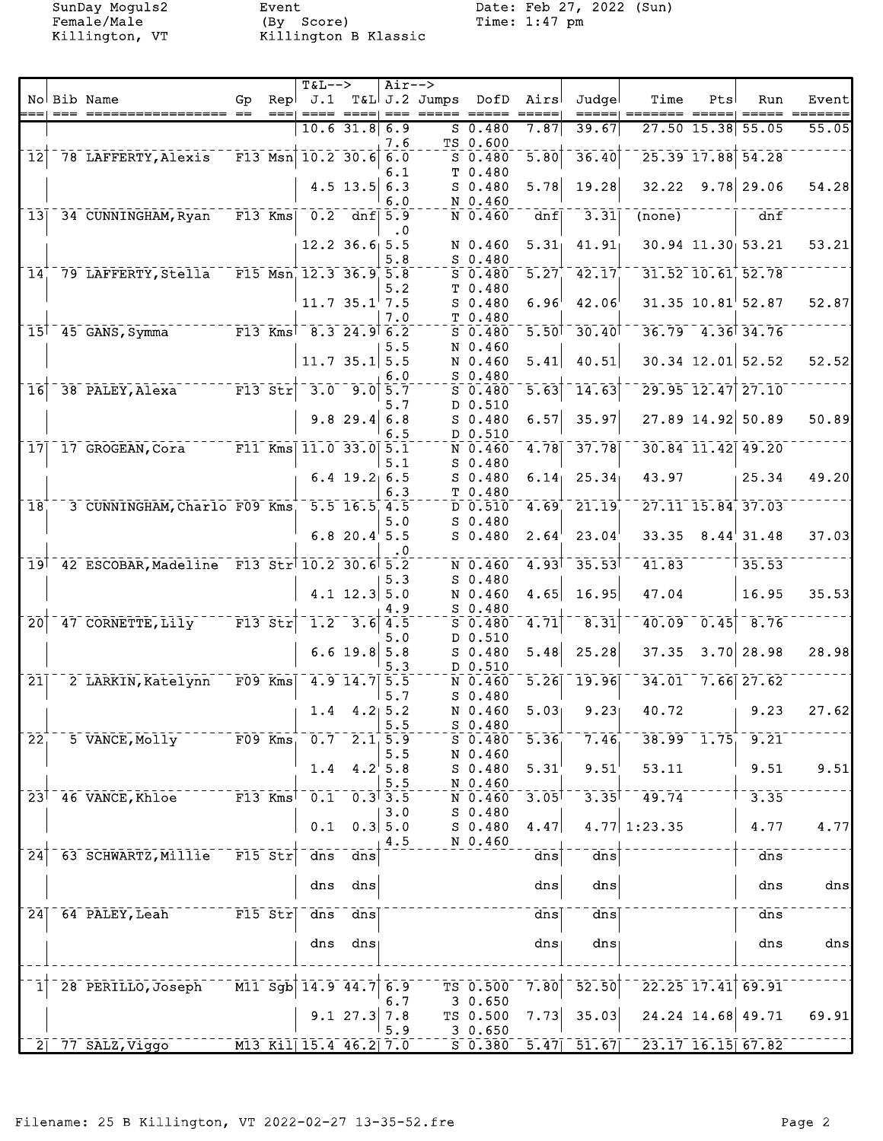Killington, VT

Event<br>(By Score)<br>Killington B Klassic

SunDay Moguls2 Event Date: Feb 27, 2022 (Sun)<br>Female/Male (By Score) Time: 1:47 pm

|                            |                                            |                      | $T&L-->$                                  |                                   | $Air--$    |                                |                      |                     |                  |                                                            |                   |                                    |       |
|----------------------------|--------------------------------------------|----------------------|-------------------------------------------|-----------------------------------|------------|--------------------------------|----------------------|---------------------|------------------|------------------------------------------------------------|-------------------|------------------------------------|-------|
|                            | No Bib Name                                | Gp                   |                                           |                                   |            | $\text{Rep}$ J.1 T&L J.2 Jumps | DofD                 | Airs                | Judgel           | Time                                                       | Pts               | Run                                | Event |
|                            |                                            |                      |                                           | $10.6$ 31.8 6.9                   |            |                                | $S$ 0.480            | 7.87                | 39.67            |                                                            | $27.50$ 15.38     | 55.05                              | 55.05 |
|                            |                                            |                      |                                           |                                   | 7.6        |                                | TS 0.600             |                     |                  |                                                            |                   |                                    |       |
| $\overline{12}$            | 78 LAFFERTY, Alexis                        |                      | $F13$ Msn $10.2$ 30.6 6.0                 |                                   |            |                                | $S$ 0.480            | $\overline{5.80}$   | 36.40            |                                                            | $25.39$ $17.88$   | 54.28                              |       |
|                            |                                            |                      |                                           |                                   | 6.1        |                                | T 0.480              |                     |                  |                                                            |                   |                                    |       |
|                            |                                            |                      |                                           | 4.5 $13.5$ 6.3                    |            |                                | $S$ 0.480            | 5.78                | 19.28            | 32.22                                                      |                   | $9.78$ 29.06                       | 54.28 |
|                            |                                            |                      |                                           |                                   | 6.0        |                                | N 0.460              |                     |                  |                                                            |                   |                                    |       |
| 13                         | 34 CUNNINGHAM, Ryan                        | $F13$ Kms            |                                           | $0.2$ dnf $5.9$                   | $\cdot$ 0  |                                | N 0.460              | dnf                 | 3.31             | (none)                                                     |                   | dnf                                |       |
|                            |                                            |                      |                                           | $12.2$ 36.6 5.5                   |            |                                | N 0.460              | 5.31                | 41.91            |                                                            | 30.94 11.30 53.21 |                                    | 53.21 |
|                            |                                            |                      |                                           |                                   | 5.8        |                                | $S$ 0.480            |                     |                  |                                                            |                   |                                    |       |
| 14                         | 79 LAFFERTY, Stella                        |                      | F15 Msn 12.3 36.9 5.8                     |                                   |            |                                | $S$ 0.480            | 5.27                | 42.17            |                                                            |                   | 31.52 10.61 52.78                  |       |
|                            |                                            |                      |                                           |                                   | 5.2        |                                | T 0.480              |                     |                  |                                                            |                   |                                    |       |
|                            |                                            |                      |                                           | $11.7 35.1$ 7.5                   | 7.0        |                                | $S$ 0.480<br>T 0.480 | 6.96                | 42.06            |                                                            |                   | $31.35$ $10.81$ <sup>1</sup> 52.87 | 52.87 |
|                            | 15 45 GANS, Symma                          |                      | F13 Kms <sup>7</sup> 8.3 24.9 6.2         |                                   |            |                                | $S$ 0.480            | 5.50                | 30.40            |                                                            |                   | $36.79$ 4.36 34.76                 |       |
|                            |                                            |                      |                                           |                                   | 5.5        |                                | N 0.460              |                     |                  |                                                            |                   |                                    |       |
|                            |                                            |                      |                                           | $11.7$ 35.1 5.5                   |            |                                | N 0.460              | 5.41                | 40.51            |                                                            |                   | $30.34$ 12.01 52.52                | 52.52 |
|                            |                                            |                      |                                           |                                   | 6.0        |                                | $S$ 0.480            |                     |                  |                                                            |                   |                                    |       |
| 16                         | 38 PALEY, Alexa                            | $F13$ Str            |                                           | $\overline{3.0}$ $\overline{9.0}$ | 5.7        |                                | $S$ 0.480<br>D 0.510 | $\overline{5.63}$   | 14.63            |                                                            |                   | 29.95 12.47 27.10                  |       |
|                            |                                            |                      |                                           | $9.8$ 29.4                        | 5.7<br>6.8 |                                | $S$ 0.480            | 6.57                | 35.97            |                                                            |                   | 27.89 14.92 50.89                  | 50.89 |
|                            |                                            |                      |                                           |                                   | 6.5        |                                | D 0.510              |                     |                  |                                                            |                   |                                    |       |
| 17                         | 17 GROGEAN, Cora                           |                      | $\overline{\text{F11}}$ Kms 11.0 33.0 5.1 |                                   |            |                                | N 0.460              | 4.78                | 37.78            |                                                            |                   | 30.84 11.42 49.20                  |       |
|                            |                                            |                      |                                           |                                   | 5.1        |                                | $S$ 0.480            |                     |                  |                                                            |                   |                                    |       |
|                            |                                            |                      |                                           | $6.4$ 19.2 6.5                    |            |                                | $S$ 0.480            | 6.14                | 25.34            | 43.97                                                      |                   | 25.34                              | 49.20 |
| 18                         | 3 CUNNINGHAM, Charlo F09 Kms               |                      |                                           | $5.5$ 16.5 4.5                    | 6.3        |                                | T 0.480<br>D 0.510   | 4.69                | 21.19            |                                                            | 27.11 15.84 37.03 |                                    |       |
|                            |                                            |                      |                                           |                                   | 5.0        |                                | $S_0.480$            |                     |                  |                                                            |                   |                                    |       |
|                            |                                            |                      |                                           | $6.8$ 20.4 5.5                    |            |                                | $S$ 0.480            | 2.64                | 23.04            | 33.35                                                      |                   | 8.44'31.48                         | 37.03 |
|                            |                                            |                      |                                           |                                   | . 0        |                                |                      |                     |                  |                                                            |                   |                                    |       |
| 19                         | 42 ESCOBAR, Madeline F13 Str 10.2 30.6 5.2 |                      |                                           |                                   |            |                                | N 0.460              | $4.93$ <sup>T</sup> | $-35.53$         | 41.83                                                      |                   | 35.53                              |       |
|                            |                                            |                      |                                           | $4.1$ 12.3 5.0                    | 5.3        |                                | $S$ 0.480<br>N 0.460 | 4.65                | 16.95            | 47.04                                                      |                   | 16.95                              | 35.53 |
|                            |                                            |                      |                                           |                                   | 4.9        |                                | $S$ 0.480            |                     |                  |                                                            |                   |                                    |       |
| $\overline{20}$            | 47 CORNETTE, Lily                          | $F13$ $Str$          | $1.2^{-}$                                 | $3.6$ 4.5                         |            |                                | $S$ 0.480            | 4.71                | 8.31             | 40.09                                                      | 0.45              | 8.76                               |       |
|                            |                                            |                      |                                           |                                   | 5.0        |                                | D 0.510              |                     |                  |                                                            |                   |                                    |       |
|                            |                                            |                      |                                           | $6.6$ 19.8 5.8                    |            |                                | $S$ 0.480            | 5.48                | 25.28            | 37.35                                                      |                   | $3.70$ 28.98                       | 28.98 |
| $\overline{21}$            | 2 LARKIN, Katelynn                         | F09 Kms              |                                           | $4.9$ 14.7 5.5                    | 5.3        |                                | D 0.510<br>N 0.460   | 5.26                | 19.96            | 34.01                                                      |                   | $7.66$ $27.62$                     |       |
|                            |                                            |                      |                                           |                                   | 5.7        |                                | $S$ 0.480            |                     |                  |                                                            |                   |                                    |       |
|                            |                                            |                      |                                           | $1.4 \quad 4.2 \,   \, 5.2$       |            |                                | N 0.460              | 5.03                | 9.23             | 40.72                                                      |                   | 9.23                               | 27.62 |
|                            |                                            |                      |                                           |                                   | 5.5        |                                | $S_0.480$            |                     |                  |                                                            |                   |                                    |       |
| $\overline{2}\overline{2}$ | 5 VANCE, Molly F09 Kms, 0.7 2.1 5.9        |                      |                                           |                                   |            |                                | $S$ 0.480            | $\overline{5.36}$   | 7.46             |                                                            | $38.99 - 1.75$    | 9.21                               |       |
|                            |                                            |                      |                                           | 1.4 $4.2^{1}$ 5.8                 | 5.5        |                                | N 0.460<br>$S$ 0.480 | 5.31                | 9.51             | 53.11                                                      |                   | 9.51                               | 9.51  |
|                            |                                            |                      |                                           |                                   | 5.5        |                                | N 0.460              |                     |                  |                                                            |                   |                                    |       |
|                            | $23^{\dagger}$ 46 VANCE, Khloe             |                      | $F13$ Kms <sup>1</sup> 0.1 0.3 3.5        |                                   |            |                                | N 0.460              | 3.05                |                  | $3.35$ <sup>1</sup> $49.74$                                |                   | 3.35                               |       |
|                            |                                            |                      |                                           |                                   | 3.0        |                                | S 0.480              |                     |                  |                                                            |                   |                                    |       |
|                            |                                            |                      | 0.1                                       |                                   | $0.3$ 5.0  |                                | S 0.480              | 4.47                |                  | $4.77$ 1:23.35                                             |                   | 4.77                               | 4.77  |
| $\overline{2}\overline{4}$ | 63 SCHWARTZ, Millie                        | $\overline{F15}$ Str |                                           | dns dns                           | 4.5        |                                | N 0.460              | dns                 | $\overline{dns}$ |                                                            |                   | dns                                |       |
|                            |                                            |                      |                                           |                                   |            |                                |                      |                     |                  |                                                            |                   |                                    |       |
|                            |                                            |                      |                                           | dns dns                           |            |                                |                      | dns                 | dns              |                                                            |                   | dns                                | dns   |
|                            |                                            |                      |                                           |                                   |            |                                |                      |                     |                  |                                                            |                   |                                    |       |
|                            | 24 64 PALEY, Leah F15 Str dns dns          |                      |                                           |                                   |            |                                |                      | dns                 | dns              |                                                            |                   | $\overline{dns}$                   |       |
|                            |                                            |                      |                                           | dns dns                           |            |                                |                      | dns                 | dns              |                                                            |                   | dns                                | dns   |
|                            |                                            |                      |                                           |                                   |            |                                |                      |                     |                  |                                                            |                   |                                    |       |
|                            |                                            |                      |                                           |                                   |            |                                |                      |                     |                  |                                                            |                   |                                    |       |
| 1 <sup>1</sup>             | 28 PERILLO, Joseph                         |                      | M11 Sgb 14.9 44.7 6.9                     |                                   |            |                                | TS 0.500             | 7.80                | $\bar{52.50}$    |                                                            |                   | 22.25 17.41 69.91                  |       |
|                            |                                            |                      |                                           |                                   | 6.7        |                                | 3 0.650              |                     |                  |                                                            |                   |                                    |       |
|                            |                                            |                      |                                           | 9.127.37.8                        | 5.9        |                                | TS 0.500<br>30.650   | 7.73                | 35.03            |                                                            |                   | 24.24 14.68 49.71                  | 69.91 |
|                            | $2$ 77 SALZ, Viggo                         |                      | M13 Kil 15.4 46.2 7.0                     |                                   |            |                                |                      |                     |                  | $5\overline{0.380}$ $5.47$ $51.67$ $23.17$ $16.15$ $67.82$ |                   |                                    |       |
|                            |                                            |                      |                                           |                                   |            |                                |                      |                     |                  |                                                            |                   |                                    |       |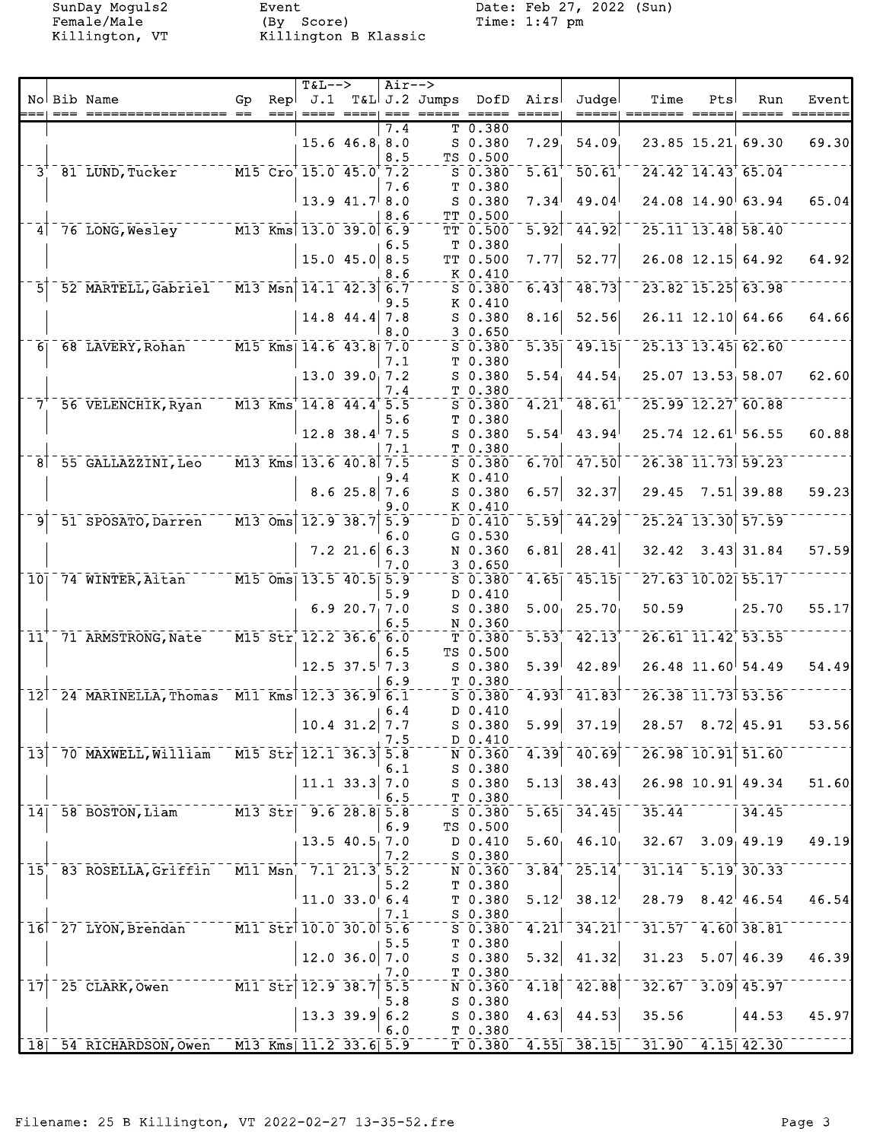Killington, VT

Event<br>(By Score)<br>Killington B Klassic

SunDay Moguls2 Event Date: Feb 27, 2022 (Sun)<br>Female/Male (By Score) Time: 1:47 pm

|                            |                                                                                |    |                                   | <b>T&amp;L--&gt;</b>     |                        | $Air--$                  |                         |                      |                     |                                          |                        |     |                        |       |
|----------------------------|--------------------------------------------------------------------------------|----|-----------------------------------|--------------------------|------------------------|--------------------------|-------------------------|----------------------|---------------------|------------------------------------------|------------------------|-----|------------------------|-------|
|                            | No Bib Name                                                                    | Gp | Repl<br>$==$                      | J.1                      |                        | $== =$                   | T&L J.2 Jumps DofD Airs |                      |                     | Judgel<br>=====                          | Time                   | Pts | Run                    | Event |
|                            |                                                                                |    |                                   |                          |                        | 7.4                      |                         | T 0.380              |                     |                                          |                        |     |                        |       |
|                            |                                                                                |    |                                   |                          | $15.6$ 46.8 8.0        |                          |                         | $S$ 0.380            | 7.29                | 54.09                                    |                        |     | 23.85 15.21 69.30      | 69.30 |
|                            |                                                                                |    |                                   |                          |                        | 8.5                      |                         | TS 0.500             |                     |                                          |                        |     |                        |       |
|                            | 3 <sup>+</sup> 81 LUND, Tucker M15 Cro <sup>+</sup> 15.0 45.0 <sup>+</sup> 7.2 |    |                                   |                          |                        |                          |                         | $S$ 0.380            | $\overline{5.61}^+$ | $50.61$ <sup>+</sup>                     |                        |     | $24.42$ $14.43$ 65.04  |       |
|                            |                                                                                |    |                                   |                          |                        | 7.6                      |                         | T 0.380              |                     |                                          |                        |     |                        |       |
|                            |                                                                                |    |                                   |                          | $13.9$ $41.7$ 8.0      |                          |                         | $S$ 0.380            | 7.34                | 49.04                                    |                        |     | 24.08 14.90 63.94      | 65.04 |
|                            | 4 76 LONG, Wesley M13 Kms 13.0 39.0 6.9                                        |    |                                   |                          |                        | 8.6                      |                         | TT 0.500<br>TT 0.500 | $\overline{5.92}$   | 44.92                                    |                        |     | 25.11 13.48 58.40      |       |
|                            |                                                                                |    |                                   |                          |                        | 6.5                      |                         | T <sub>0.380</sub>   |                     |                                          |                        |     |                        |       |
|                            |                                                                                |    |                                   |                          | $15.0$ 45.0 8.5        |                          |                         | TT 0.500             | 7.77                | 52.77                                    |                        |     | $26.08$ 12.15 64.92    | 64.92 |
|                            |                                                                                |    |                                   |                          |                        | 8.6                      |                         | K 0.410              |                     |                                          |                        |     |                        |       |
| 51                         | 52 MARTELL, Gabriel M13 Msn 14.1 42.3 6.7                                      |    |                                   |                          |                        |                          |                         | $S$ 0.380            | $\overline{6.43}$   | 48.73                                    |                        |     | $23.82$ 15.25 63.98    |       |
|                            |                                                                                |    |                                   |                          |                        | 9.5                      |                         | K 0.410              |                     |                                          |                        |     |                        |       |
|                            |                                                                                |    |                                   |                          | $14.8$ 44.4 7.8        |                          |                         | $S_0.380$            | 8.16                | 52.56                                    |                        |     | 26.11 12.10 64.66      | 64.66 |
|                            | 6 68 LAVERY, Rohan M15 Kms 14.6 43.8 7.0                                       |    |                                   |                          |                        | 8.0                      |                         | 30.650<br>$S_0.380$  | $\overline{5.35}$   | 49.15                                    |                        |     | 25.13 13.45 62.60      |       |
|                            |                                                                                |    |                                   |                          |                        | 7.1                      |                         | T 0.380              |                     |                                          |                        |     |                        |       |
|                            |                                                                                |    |                                   |                          | $13.0$ 39.0 7.2        |                          |                         | $S$ 0.380            | $5.54_1$            | 44.54                                    |                        |     | 25.07 13.53 58.07      | 62.60 |
|                            |                                                                                |    |                                   |                          |                        | 7.4                      |                         | T 0.380              |                     |                                          |                        |     |                        |       |
| $7^{\circ}$                | 56 VELENCHIK, Ryan M13 Kms 14.8 44.4 5.5                                       |    |                                   |                          |                        |                          |                         | $S$ $0.380$          | $4.21$ <sup>+</sup> | 48.61                                    |                        |     | 25.99 12.27 60.88      |       |
|                            |                                                                                |    |                                   |                          |                        | 5.6                      |                         | T 0.380              |                     |                                          |                        |     |                        |       |
|                            |                                                                                |    |                                   |                          | $12.8$ 38.4 7.5        | 7.1                      |                         | $S$ 0.380<br>T 0.380 | 5.54                | 43.94                                    |                        |     | $25.74$ 12.61 56.55    | 60.88 |
|                            | 8 55 GALLAZZINI, Leo                                                           |    |                                   | $M13$ Kms 13.6 40.8 7.5  |                        |                          |                         | $S\ \ 0.380$         | 6.70                | $-47.50$                                 |                        |     | 26.38 11.73 59.23      |       |
|                            |                                                                                |    |                                   |                          |                        | 9.4                      |                         | K 0.410              |                     |                                          |                        |     |                        |       |
|                            |                                                                                |    |                                   |                          | 8.625.87.6             |                          |                         | $S$ 0.380            | 6.57                | 32.37                                    | 29.45                  |     | $7.51$ 39.88           | 59.23 |
|                            |                                                                                |    |                                   |                          |                        | 9.0                      |                         | K 0.410              |                     |                                          |                        |     |                        |       |
| ⊺و⊺                        | 51 SPOSATO, Darren                                                             |    |                                   | $-M13$ Oms 12.9 38.7 5.9 |                        |                          |                         | $D$ 0.410            | $\overline{5.59}$   | 44.29                                    |                        |     | 25.24 13.30 57.59      |       |
|                            |                                                                                |    |                                   |                          |                        | 6.0                      |                         | $G_0.530$            | 6.81                | 28.41                                    |                        |     | $32.42$ $3.43$ 31.84   | 57.59 |
|                            |                                                                                |    |                                   |                          | $7.2$ 21.6 6.3         | 7.0                      |                         | N 0.360<br>30.650    |                     |                                          |                        |     |                        |       |
| 101                        | 74 WINTER, Aitan M15 Oms 13.5 40.5 5.9                                         |    |                                   |                          |                        |                          |                         | $S_0.380$            | 4.65                | 45.15                                    |                        |     | 27.63 10.02 55.17      |       |
|                            |                                                                                |    |                                   |                          |                        | 5.9                      |                         | D 0.410              |                     |                                          |                        |     |                        |       |
|                            |                                                                                |    |                                   |                          | 6.920.77.7.0           |                          |                         | $S$ 0.380            | $5.00_1$            | 25.70                                    | 50.59                  |     | 25.70                  | 55.17 |
|                            |                                                                                |    |                                   |                          |                        | 6.5                      |                         | N 0.360              |                     |                                          |                        |     |                        |       |
| 11                         | 71 ARMSTRONG, Nate M15 Str 12.2 36.6 6.0                                       |    |                                   |                          |                        |                          |                         | T 0.380<br>TS 0.500  | $\overline{5.53}$   | 42.13                                    |                        |     | 26.61 11.42 53.55      |       |
|                            |                                                                                |    |                                   |                          | $12.5$ 37.5 7.3        | 6.5                      |                         | $S$ 0.380            | 5.39                | 42.89                                    |                        |     | $26.48$ 11.60 54.49    | 54.49 |
|                            |                                                                                |    |                                   |                          |                        | 6.9                      |                         | T 0.380              |                     |                                          |                        |     |                        |       |
|                            | 12 24 MARINELLA, Thomas M11 Kms 12.3 36.9 6.1                                  |    |                                   |                          |                        |                          |                         | $S$ 0.380            |                     | $4.93$ <sup>-</sup> $41.83$ <sup>†</sup> |                        |     | 26.38 11.73 53.56      |       |
|                            |                                                                                |    |                                   |                          |                        | 6.4                      |                         | D 0.410              |                     |                                          |                        |     |                        |       |
|                            |                                                                                |    |                                   |                          | 10.4 $31.2$ 7.7        |                          |                         | $S$ 0.380            | 5.99                | 37.19                                    |                        |     | $28.57$ $8.72$ $45.91$ | 53.56 |
| $\overline{1}\overline{3}$ | 70 MAXWELL, William                                                            |    | $\overline{M15}$ $\overline{Str}$ |                          | $\overline{12.1}$ 36.3 | 7.5<br>$\bar{5} \cdot 8$ |                         | D 0.410<br>N 0.360   | $\overline{4.39}$   | $\overline{40.69}$                       |                        |     | 26.98 10.91 51.60      |       |
|                            |                                                                                |    |                                   |                          |                        | 6.1                      |                         | $S$ 0.380            |                     |                                          |                        |     |                        |       |
|                            |                                                                                |    |                                   |                          | $11.1$ 33.3            | 7.0                      |                         | S 0.380              | 5.13                | 38.43                                    |                        |     | 26.98 10.91 49.34      | 51.60 |
|                            |                                                                                |    |                                   |                          |                        | 6.5                      |                         | T0.380               |                     |                                          |                        |     |                        |       |
| $\overline{1}\overline{4}$ | 58 BOSTON, Liam                                                                |    | $M13$ Str                         |                          | $9.6$ 28.8 5.8         |                          |                         | $S$ 0.380            | $\overline{5.65}$   | 34.45                                    | 35.44                  |     | 34.45                  |       |
|                            |                                                                                |    |                                   |                          |                        | 6.9                      |                         | TS 0.500             |                     |                                          |                        |     |                        |       |
|                            |                                                                                |    |                                   |                          | $13.5$ 40.5 7.0        | 7.2                      |                         | D 0.410<br>S 0.380   | $5.60_1$            | 46.10                                    | 32.67                  |     | 3.09, 49.19            | 49.19 |
| $\overline{15}$            | 83 ROSELLA, Griffin                                                            |    |                                   | $M11$ $Msn$ 7.1 21.3 5.2 |                        |                          |                         | N 0.360              | 3.84                | $25.14$ <sup>+</sup>                     |                        |     | $31.14 - 5.19$ 30.33   |       |
|                            |                                                                                |    |                                   |                          |                        | 5.2                      |                         | T0.380               |                     |                                          |                        |     |                        |       |
|                            |                                                                                |    |                                   |                          | $11.0$ 33.0 6.4        |                          |                         | T <sub>0.380</sub>   | 5.12                | 38.12                                    |                        |     | $28.79$ $8.42$ $46.54$ | 46.54 |
|                            |                                                                                |    |                                   |                          |                        | 7.1                      |                         | S 0.380              |                     |                                          |                        |     |                        |       |
|                            | 16 27 LYON, Brendan                                                            |    |                                   | M11 Str 10.0 30.0 5.6    |                        |                          |                         | $S$ 0.380            | $\overline{4.21}$   | 34.21                                    |                        |     | $31.57 - 4.60$ 38.81   |       |
|                            |                                                                                |    |                                   |                          | $12.0$ 36.0 7.0        | 5.5                      |                         | T 0.380<br>$S$ 0.380 | 5.32                | 41.32                                    | 31.23                  |     | $5.07$ 46.39           | 46.39 |
|                            |                                                                                |    |                                   |                          |                        | 7.0                      |                         | T <sub>0.380</sub>   |                     |                                          |                        |     |                        |       |
| $\overline{17}$            | 25 CLARK, Owen                                                                 |    | $\overline{M11}$ $\overline{Str}$ |                          | $\overline{12.9}$ 38.7 | 5.5                      |                         | N 0.360              | 4.18                | 42.88                                    | 32.67                  |     | $3.09$ 45.97           |       |
|                            |                                                                                |    |                                   |                          |                        | 5.8                      |                         | $S$ 0.380            |                     |                                          |                        |     |                        |       |
|                            |                                                                                |    |                                   |                          | $13.3$ 39.9            | 6.2                      |                         | S 0.380              | 4.63                | 44.53                                    | 35.56                  |     | 44.53                  | 45.97 |
|                            |                                                                                |    |                                   |                          |                        | 6.0                      |                         | T 0.380              |                     |                                          |                        |     |                        |       |
|                            | 18 54 RICHARDSON, Owen M13 Kms 11.2 33.6 5.9                                   |    |                                   |                          |                        |                          |                         | T0.380               |                     | $4.55$ <sup>-38.15</sup>                 | $31.90$ $4.15$ $42.30$ |     |                        |       |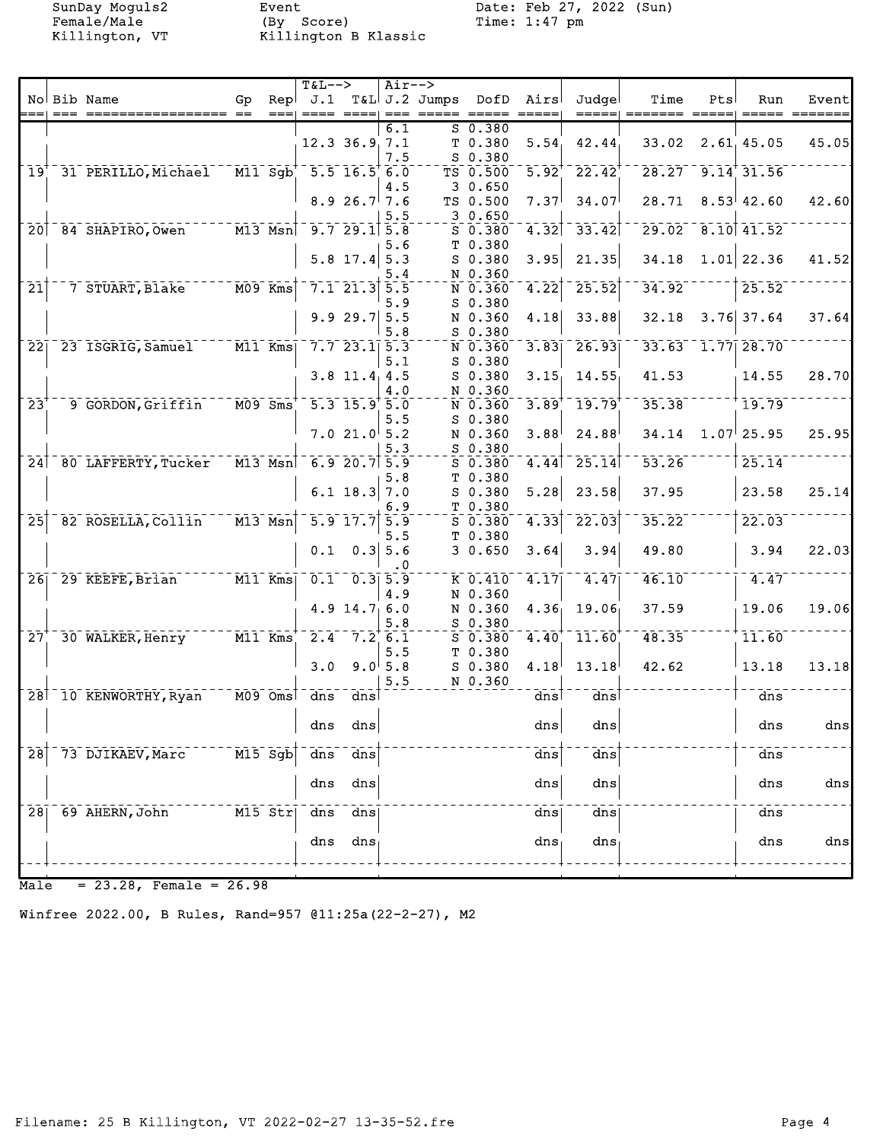Female/Male (By Score) Time: 1:47 pm Killington, VT Killington B Klassic

SunDay Moguls2 Event Date: Feb 27, 2022 (Sun)<br>Female/Male (By Score) Time: 1:47 pm

|                              |                              |                                                  |      | $T&L-->$          |                                                     | $Air--$             |                            |                                 |                     |                                      |       |     |                         |                |
|------------------------------|------------------------------|--------------------------------------------------|------|-------------------|-----------------------------------------------------|---------------------|----------------------------|---------------------------------|---------------------|--------------------------------------|-------|-----|-------------------------|----------------|
|                              | No Bib Name                  | Gp                                               | Repl |                   |                                                     |                     |                            | J.1 T&L J.2 Jumps DofD          | Airs                | Judgel                               | Time  | Pts | Run                     | Event          |
|                              |                              |                                                  | $==$ |                   |                                                     |                     | ==== ====  === ===== ===== |                                 | $== == ==$          | =====                                |       |     |                         |                |
|                              |                              |                                                  |      |                   | $12.3$ 36.9 7.1                                     | 6.1<br>7.5          |                            | $S$ 0.380<br>T 0.380<br>S 0.380 | 5.54                | 42.44                                | 33.02 |     | 2.61, 45.05             | 45.05          |
| 19 <sup>T</sup>              | 31 PERILLO, Michael M11 Sgb  |                                                  |      | $-5.5$ 16.5 6.0   |                                                     |                     |                            | TS 0.500<br>30.650              | $\overline{5.92}^+$ | $\sqrt{22.42}$                       |       |     | $28.27 - 9.14$ 31.56    |                |
|                              |                              |                                                  |      |                   | 8.926.77.6                                          | 4.5<br>5.5          |                            | TS 0.500<br>30.650              | 7.37                | 34.07                                | 28.71 |     | 8.53   42.60            | 42.60          |
|                              | 20 84 SHAPIRO, Owen          | $- -  \overline{M13}$ Msn                        |      |                   | $9.7$ 29.1 5.8                                      |                     |                            | $S$ 0.380<br>T 0.380            |                     | $4.32$ <sup>-33.42</sup>             |       |     | $29.02 - 8.10$ 41.52    |                |
|                              |                              |                                                  |      |                   | $5.8$ 17.4 $5.3$                                    | 5.6<br>5.4          |                            | $S$ 0.380<br>N 0.360            | 3.95                | 21.35                                | 34.18 |     | $1.01$ 22.36            | 41.52          |
| $\overline{21}$              | 7 STUART, Blake              | $M09$ Kms                                        |      |                   | $7.1$ 21.3 5.5                                      | 5.9                 |                            | N 0.360<br>$S$ 0.380            | $\overline{4.22}$   | 25.52                                | 34.92 |     | 25.52                   |                |
|                              |                              |                                                  |      |                   | $9.929.7$ 5.5                                       | 5.8                 |                            | N 0.360<br>$S$ 0.380            | 4.18                | 33.88                                | 32.18 |     | $3.76$ 37.64            | 37.64          |
|                              | 22 23 ISGRIG, Samuel M11 Kms |                                                  |      |                   | $7.7$ 23.1 5.3                                      | 5.1                 |                            | N 0.360<br>$S$ 0.380            | 3.83                | $\overline{26.93}$                   |       |     | 33.63 1.77 28.70        |                |
|                              |                              |                                                  |      |                   | $3.8$ 11.4 4.5                                      | 4.0                 |                            | $S$ 0.380<br>N 0.360            | 3.15                | 14.55                                | 41.53 |     | 14.55                   | 28.70          |
| $\overline{2}3$ <sup>+</sup> | 9 GORDON, Griffin            | $M09$ Sms                                        |      |                   | $\overline{5.3}$ $\overline{15.9}$ $\overline{5.0}$ | 5.5                 |                            | N 0.360<br>S 0.380              | 3.89                | 19.79                                | 35.38 |     | 19.79                   |                |
|                              |                              |                                                  |      |                   | 7.021.05.2                                          | 5.3                 |                            | N 0.360<br>S 0.380              | 3.88                | 24.88                                | 34.14 |     | $1.07$ <sup>25.95</sup> | 25.95          |
|                              | 24 80 LAFFERTY, Tucker       | $\overline{M13}$ $\overline{Msn}$                |      |                   | $6.9$ $20.7$ $5.9$                                  | 5.8                 |                            | $S$ 0.380<br>T 0.380            |                     | $\overline{4.44}$ <sup>-</sup> 25.14 | 53.26 |     | 25.14                   |                |
|                              |                              |                                                  |      |                   | 6.1 $18.3$ 7.0                                      | 6.9                 |                            | $S$ 0.380<br>T 0.380            | 5.28                | 23.58                                | 37.95 |     | 23.58                   | 25.14          |
| $\overline{25}$              | 82 ROSELLA, Collin           | $\overline{M13}$ $\overline{Msn}$                |      |                   | $\overline{5.9}$ $\overline{17.7}$ $\overline{5.9}$ | 5.5                 |                            | $5^{\circ}$ 0.380<br>T 0.380    | 4.33                | 22.03                                | 35.22 |     | 22.03                   |                |
|                              |                              |                                                  |      | 0.1               |                                                     | $0.3$ 5.6<br>. 0    |                            | 30.650                          | 3.64                | 3.94                                 | 49.80 |     | 3.94                    | 22.03          |
|                              | 26 29 KEEFE, Brian M11 Kms   |                                                  |      |                   | $0.1 - 0.3$ 5.9                                     | 4.9                 |                            | K 0.410<br>N 0.360              | 4.17                | 4.47                                 | 46.10 |     | 4.47                    |                |
|                              |                              |                                                  |      |                   | $4.9$ 14.7 6.0                                      | 5.8                 |                            | N 0.360<br>$S$ 0.380            | 4.36                | 19.06                                | 37.59 |     | 19.06                   | 19.06          |
| 27                           | 30 WALKER, Henry             | $ \overline{M11}$ Kms                            |      |                   | $2.4 - 7.26$ .                                      | 5.5                 |                            | $S$ 0.380<br>T 0.380            | 4.40                | 11.60                                | 48.35 |     | 11.60                   |                |
|                              |                              |                                                  |      | 3.0               |                                                     | $9.0^{+}5.8$<br>5.5 |                            | $S_0.380$<br>N 0.360            | 4.18                | 13.18                                | 42.62 |     | 13.18                   | 13.18          |
|                              | 28 10 KENWORTHY, Ryan        | --- M09 Omsl                                     |      | dns               | dns                                                 |                     |                            |                                 | dns                 | $\frac{1}{\text{dns}}$               |       |     | dns                     |                |
|                              |                              |                                                  |      |                   | dns dns                                             |                     |                            |                                 | $\frac{dns}{ }$     | $\frac{d}{ds}$                       |       |     | dns                     | dns            |
| 28                           | 73 DJIKAEV, Marc             | $\overline{M15}$ $\overline{S}$ g $\overline{b}$ |      | $\overline{d}$ ns | $\overline{dns}$                                    |                     |                            |                                 | dns                 | dns                                  |       |     | dns                     |                |
|                              |                              |                                                  |      | dns               | dns                                                 |                     |                            |                                 | dns                 | dns                                  |       |     | dns                     | $\frac{d}{ds}$ |
| 28                           | 69 AHERN, John               | M15 Str                                          |      | dns               | dns                                                 |                     |                            |                                 | dns                 | dns                                  |       |     | dns                     |                |
|                              |                              |                                                  |      | dns               | dns                                                 |                     |                            |                                 | dns                 | dns                                  |       |     | dns                     | $\frac{d}{ds}$ |
|                              |                              |                                                  |      |                   |                                                     |                     |                            |                                 |                     |                                      |       |     |                         |                |

Male = 23.28, Female = 26.98

Winfree 2022.00, B Rules, Rand=957 @11:25a(22-2-27), M2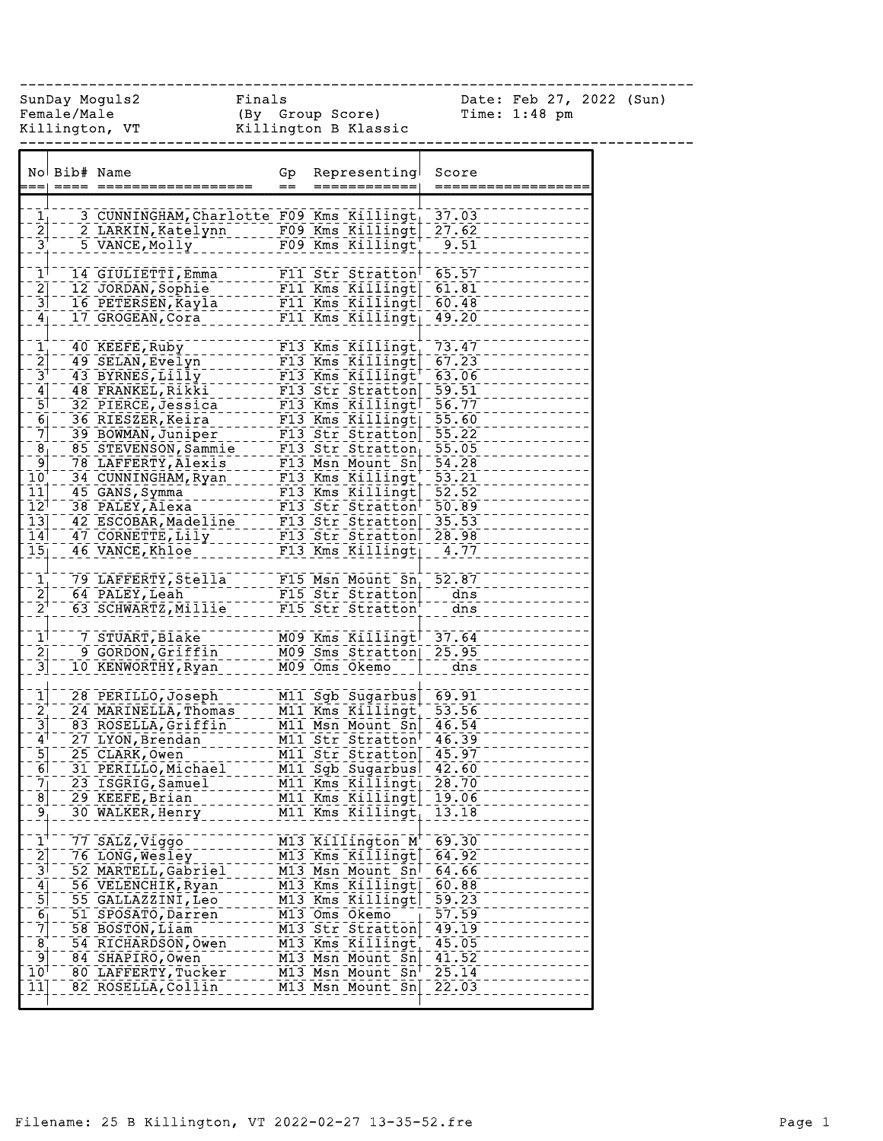|                                                  | Female/Male | Killington, VT           Killington B Klassic                                                                                                                                                                                                                             | (By Group Score) |                                                                                             | Time: 1:48 pm |
|--------------------------------------------------|-------------|---------------------------------------------------------------------------------------------------------------------------------------------------------------------------------------------------------------------------------------------------------------------------|------------------|---------------------------------------------------------------------------------------------|---------------|
|                                                  |             | No Bib# Name                                                                                                                                                                                                                                                              | Gp               | Representing                                                                                | Score         |
|                                                  |             |                                                                                                                                                                                                                                                                           | $=$              | ============                                                                                | ======:       |
|                                                  |             |                                                                                                                                                                                                                                                                           |                  |                                                                                             |               |
| 1 <sub>1</sub>                                   |             | 3 CUNNINGHAM, Charlotte F09 Kms Killingt                                                                                                                                                                                                                                  |                  |                                                                                             | 37.03         |
| $\overline{2}$                                   |             | 2 LARKIN, Katelynn 199 Kms Killingt                                                                                                                                                                                                                                       |                  |                                                                                             | 27.62         |
|                                                  |             | 5 VANCE, Molly                                                                                                                                                                                                                                                            |                  | $\overline{F09}$ Kms Killingt                                                               | $-9.51$       |
| $1^{\top}$                                       |             |                                                                                                                                                                                                                                                                           |                  |                                                                                             | 65.57         |
|                                                  |             | 14 GIULIETTI, Emma<br>12 JORDAN, Sophie<br>16 PETERSEN, Kayla ------ F11 Kms Killingt<br>16 PETERSEN, Kayla ------ F11 Kms Killingt<br>17 CPOCEAN Cora                                                                                                                    |                  |                                                                                             | 61.81         |
| $\frac{2}{3}$                                    |             |                                                                                                                                                                                                                                                                           |                  |                                                                                             | 60.48         |
|                                                  |             | 17 GROGEAN, Cora                                                                                                                                                                                                                                                          |                  | F11 Kms Killingt                                                                            | 49.20         |
| 4 <sub>1</sub>                                   |             |                                                                                                                                                                                                                                                                           |                  |                                                                                             |               |
|                                                  |             | 40 KEEFE, Ruby ___________                                                                                                                                                                                                                                                |                  | F13 Kms Killingt                                                                            | 73.47         |
| $\begin{bmatrix} 1 \\ 2 \\ 3 \\ 4 \end{bmatrix}$ |             |                                                                                                                                                                                                                                                                           |                  |                                                                                             |               |
|                                                  |             |                                                                                                                                                                                                                                                                           |                  |                                                                                             |               |
|                                                  |             |                                                                                                                                                                                                                                                                           |                  |                                                                                             |               |
| $\overline{5}$                                   |             |                                                                                                                                                                                                                                                                           |                  |                                                                                             |               |
|                                                  |             |                                                                                                                                                                                                                                                                           |                  |                                                                                             |               |
| $\begin{bmatrix} 6 \\ 7 \end{bmatrix}$           |             |                                                                                                                                                                                                                                                                           |                  |                                                                                             |               |
| $\overline{8}$ ]                                 |             |                                                                                                                                                                                                                                                                           |                  |                                                                                             |               |
|                                                  |             |                                                                                                                                                                                                                                                                           |                  |                                                                                             |               |
| פ <sup>−</sup><br> סב                            |             |                                                                                                                                                                                                                                                                           |                  |                                                                                             |               |
| $\bar{1}\bar{1}$                                 |             |                                                                                                                                                                                                                                                                           |                  |                                                                                             |               |
| $\overline{1}\overline{2}^{\overline{1}}$        |             |                                                                                                                                                                                                                                                                           |                  |                                                                                             |               |
| $\overline{13}$                                  |             |                                                                                                                                                                                                                                                                           |                  |                                                                                             |               |
| $\overline{1}\overline{4}$                       |             |                                                                                                                                                                                                                                                                           |                  |                                                                                             |               |
| $\bar{1}5\bar{1}$                                |             | 40 KEEFE, Ruby<br>49 SELAN, Evelyn<br>49 SELAN, Evelyn<br>43 BYRNES, Lilly<br>43 BYRNES, Lilly<br>48 FRANKEL, Rikki<br>48 FRANKEL, Rikki<br>48 FRANKEL, Rikki<br>48 FRANKEL, Rikki<br>48 FRANKEL, Rikki<br>48 FRANKEL, Rikki<br>49 SELAN, Rein<br>48 F<br>46 VANCE, Khloe |                  | <b>FI3 Kms Killingt</b>                                                                     | 4.77          |
| $\mathbf{\bar{1}}_{1}^{+}$                       |             | 79 LAFFERTY, Stella F15 Msn Mount Sn <sub>1</sub> 52.87                                                                                                                                                                                                                   |                  |                                                                                             |               |
|                                                  |             | 64 PALEY, Leah F15 Str Stratton dns                                                                                                                                                                                                                                       |                  |                                                                                             |               |
| $\frac{2}{2}$                                    |             | 63 SCHWARTZ, Millie                                                                                                                                                                                                                                                       |                  | F15 Str Stratton                                                                            | dns           |
|                                                  |             |                                                                                                                                                                                                                                                                           |                  |                                                                                             |               |
| $\mathbf{1}^{\dagger}$                           |             | 7 STUART, Blake                                                                                                                                                                                                                                                           |                  | -------- M09 Kms Killingt <sup>-</sup> 37.64<br>n <sub>-----</sub> - M09 Sms Stratton 25.95 |               |
| $\frac{2}{3}$                                    |             | 9 GORDON, Griffin                                                                                                                                                                                                                                                         |                  |                                                                                             |               |
|                                                  |             | 10 KENWORTHY,Ryan                                                                                                                                                                                                                                                         |                  | M09 Oms Okemo <sup>--</sup>                                                                 | dns           |
|                                                  |             |                                                                                                                                                                                                                                                                           |                  |                                                                                             |               |
| $\frac{1}{2}$                                    |             | 28 PERILLO, Joseph                                                                                                                                                                                                                                                        |                  | M11 Sgb Sugarbus                                                                            | 69.91         |
|                                                  |             | 24 MARINELLA, Thomas                                                                                                                                                                                                                                                      |                  | M11 Kms Killingt                                                                            | 53.56         |
|                                                  |             | 83 ROSELLA, Griffin                                                                                                                                                                                                                                                       |                  | M11 Msn Mount Sn                                                                            | 46.54         |
| $\mathbf{4}^{\mathsf{\dagger}}$                  |             | 27 LYON, Brendan                                                                                                                                                                                                                                                          |                  | M11 Str Stratton <sup>1</sup>                                                               | 46.39         |
| $\frac{5}{6}$                                    |             | 25 CLARK, Owen                                                                                                                                                                                                                                                            |                  | M11 Str Stratton 45.97                                                                      |               |
|                                                  |             | 31 PERILLO, Michael                                                                                                                                                                                                                                                       |                  | M11 Sgb Sugarbus                                                                            | 42.60         |
| $\frac{7}{8}$                                    |             | 23 ISGRIG, Samuel                                                                                                                                                                                                                                                         |                  | M11 Kms Killingt                                                                            | 28.70         |
|                                                  |             | 29 KEEFE, Brian                                                                                                                                                                                                                                                           |                  | M11 Kms Killingt                                                                            | 19.06         |
| $\overline{9}$                                   |             | 30 WALKER, Henry                                                                                                                                                                                                                                                          |                  | M11 Kms Killingt                                                                            | 13.18         |
| $\mathbf{1}^{\mathsf{T}}$                        |             | 77 SALZ, Viggo                                                                                                                                                                                                                                                            |                  | M13 Killington M                                                                            | 69.30         |
| $\bar{2}$                                        |             | 76 LONG, Wesley                                                                                                                                                                                                                                                           |                  | M13 Kms Killingt                                                                            | 64.92         |
|                                                  |             | 52 MARTELL, Gabriel                                                                                                                                                                                                                                                       |                  | M13 Msn Mount Sn                                                                            | 64.66         |
| $\frac{3}{4}$<br>$\frac{4}{5}$                   |             | 56 VELENCHIK, Ryan                                                                                                                                                                                                                                                        |                  | M13 Kms Killingt                                                                            | 60.88         |
|                                                  |             | 55 GALLAZZINI, Leo                                                                                                                                                                                                                                                        |                  | M13 Kms Killingt                                                                            | 59.23         |
|                                                  |             | 51 SPOSATO, Darren                                                                                                                                                                                                                                                        |                  | M13 Oms Okemo                                                                               | 57.59         |
| $\begin{bmatrix} 6 \\ 7 \end{bmatrix}$           |             | 58 BOSTON, Liam                                                                                                                                                                                                                                                           |                  | M13 Str Stratton                                                                            | 49.19         |
| $\bar{8}$                                        |             | 54 RICHARDSON, Owen                                                                                                                                                                                                                                                       |                  | M13 Kms Killingt                                                                            | 45.05         |
| $\overline{9}$                                   |             | 84 SHAPIRO, Owen                                                                                                                                                                                                                                                          |                  | M13 Msn Mount Sn                                                                            | 41.52         |
| 10                                               |             | 80 LAFFERTY, Tucker                                                                                                                                                                                                                                                       |                  | M13 Msn Mount Sn                                                                            | 25.14         |
| 11                                               |             | 82 ROSELLA, Collin                                                                                                                                                                                                                                                        |                  | M13 Msn Mount Sn                                                                            | 22.03         |
|                                                  |             |                                                                                                                                                                                                                                                                           |                  |                                                                                             |               |